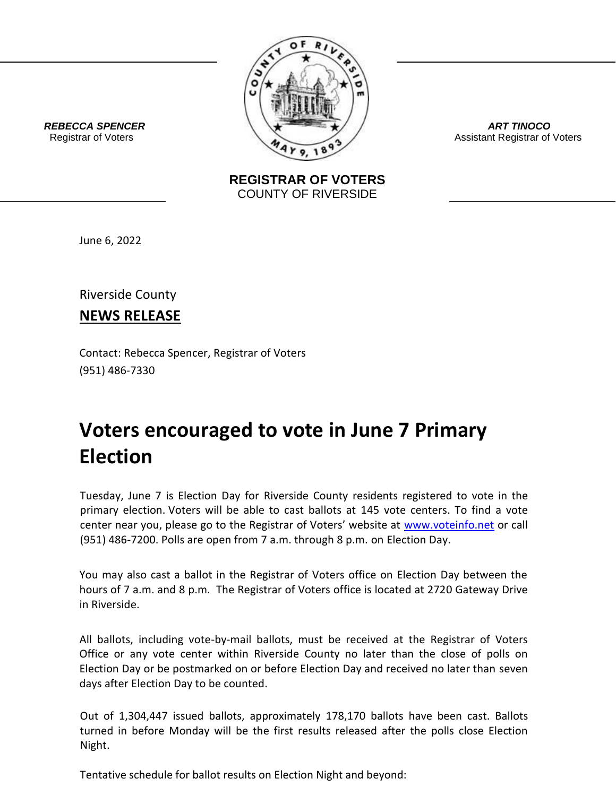

*ART TINOCO* Assistant Registrar of Voters

 *REBECCA SPENCER* Registrar of Voters

> **REGISTRAR OF VOTERS** COUNTY OF RIVERSIDE

June 6, 2022

Riverside County

**NEWS RELEASE**

Contact: Rebecca Spencer, Registrar of Voters (951) 486-7330

## **Voters encouraged to vote in June 7 Primary Election**

Tuesday, June 7 is Election Day for Riverside County residents registered to vote in the primary election. Voters will be able to cast ballots at 145 vote centers. To find a vote center near you, please go to the Registrar of Voters' website at [www.voteinfo.net](http://www.voteinfo.net/) or call (951) 486-7200. Polls are open from 7 a.m. through 8 p.m. on Election Day.

You may also cast a ballot in the Registrar of Voters office on Election Day between the hours of 7 a.m. and 8 p.m. The Registrar of Voters office is located at 2720 Gateway Drive in Riverside.

All ballots, including vote-by-mail ballots, must be received at the Registrar of Voters Office or any vote center within Riverside County no later than the close of polls on Election Day or be postmarked on or before Election Day and received no later than seven days after Election Day to be counted.

Out of 1,304,447 issued ballots, approximately 178,170 ballots have been cast. Ballots turned in before Monday will be the first results released after the polls close Election Night.

Tentative schedule for ballot results on Election Night and beyond: